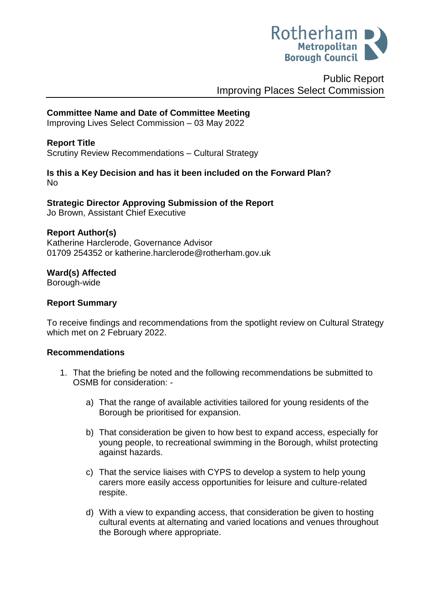

# Public Report Improving Places Select Commission

# **Committee Name and Date of Committee Meeting**

Improving Lives Select Commission – 03 May 2022

### **Report Title**

Scrutiny Review Recommendations – Cultural Strategy

### **Is this a Key Decision and has it been included on the Forward Plan?**  No

**Strategic Director Approving Submission of the Report** Jo Brown, Assistant Chief Executive

#### **Report Author(s)**

<span id="page-0-0"></span>Katherine Harclerode, Governance Advisor 01709 254352 or katherine.harclerode@rotherham.gov.uk

# **Ward(s) Affected**

Borough-wide

### **Report Summary**

To receive findings and recommendations from the spotlight review on Cultural Strategy which met on 2 February 2022.

### **Recommendations**

- 1. That the briefing be noted and the following recommendations be submitted to OSMB for consideration:
	- a) That the range of available activities tailored for young residents of the Borough be prioritised for expansion.
	- b) That consideration be given to how best to expand access, especially for young people, to recreational swimming in the Borough, whilst protecting against hazards.
	- c) That the service liaises with CYPS to develop a system to help young carers more easily access opportunities for leisure and culture-related respite.
	- d) With a view to expanding access, that consideration be given to hosting cultural events at alternating and varied locations and venues throughout the Borough where appropriate.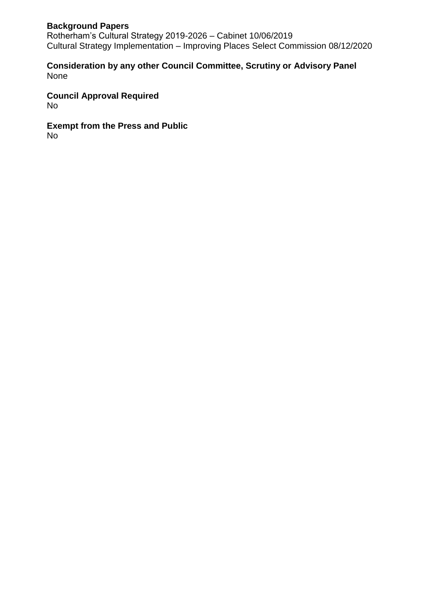## **Background Papers**

Rotherham's Cultural Strategy 2019-2026 – Cabinet 10/06/2019 Cultural Strategy Implementation – Improving Places Select Commission 08/12/2020

### **Consideration by any other Council Committee, Scrutiny or Advisory Panel** None

**Council Approval Required** No

**Exempt from the Press and Public** No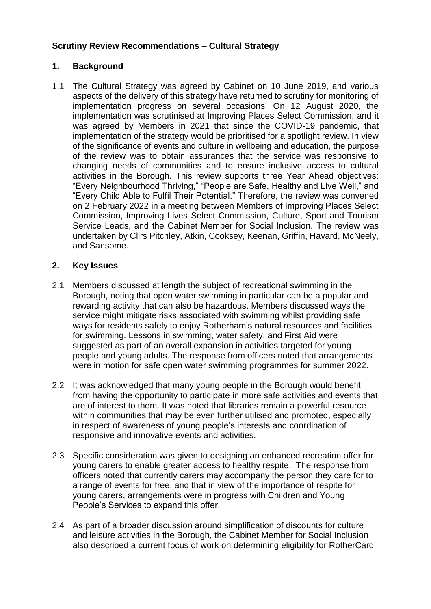## **Scrutiny Review Recommendations – Cultural Strategy**

# **1. Background**

1.1 The Cultural Strategy was agreed by Cabinet on 10 June 2019, and various aspects of the delivery of this strategy have returned to scrutiny for monitoring of implementation progress on several occasions. On 12 August 2020, the implementation was scrutinised at Improving Places Select Commission, and it was agreed by Members in 2021 that since the COVID-19 pandemic, that implementation of the strategy would be prioritised for a spotlight review. In view of the significance of events and culture in wellbeing and education, the purpose of the review was to obtain assurances that the service was responsive to changing needs of communities and to ensure inclusive access to cultural activities in the Borough. This review supports three Year Ahead objectives: "Every Neighbourhood Thriving," "People are Safe, Healthy and Live Well," and "Every Child Able to Fulfil Their Potential." Therefore, the review was convened on 2 February 2022 in a meeting between Members of Improving Places Select Commission, Improving Lives Select Commission, Culture, Sport and Tourism Service Leads, and the Cabinet Member for Social Inclusion. The review was undertaken by Cllrs Pitchley, Atkin, Cooksey, Keenan, Griffin, Havard, McNeely, and Sansome.

# **2. Key Issues**

- 2.1 Members discussed at length the subject of recreational swimming in the Borough, noting that open water swimming in particular can be a popular and rewarding activity that can also be hazardous. Members discussed ways the service might mitigate risks associated with swimming whilst providing safe ways for residents safely to enjoy Rotherham's natural resources and facilities for swimming. Lessons in swimming, water safety, and First Aid were suggested as part of an overall expansion in activities targeted for young people and young adults. The response from officers noted that arrangements were in motion for safe open water swimming programmes for summer 2022.
- 2.2 It was acknowledged that many young people in the Borough would benefit from having the opportunity to participate in more safe activities and events that are of interest to them. It was noted that libraries remain a powerful resource within communities that may be even further utilised and promoted, especially in respect of awareness of young people's interests and coordination of responsive and innovative events and activities.
- 2.3 Specific consideration was given to designing an enhanced recreation offer for young carers to enable greater access to healthy respite. The response from officers noted that currently carers may accompany the person they care for to a range of events for free, and that in view of the importance of respite for young carers, arrangements were in progress with Children and Young People's Services to expand this offer.
- 2.4 As part of a broader discussion around simplification of discounts for culture and leisure activities in the Borough, the Cabinet Member for Social Inclusion also described a current focus of work on determining eligibility for RotherCard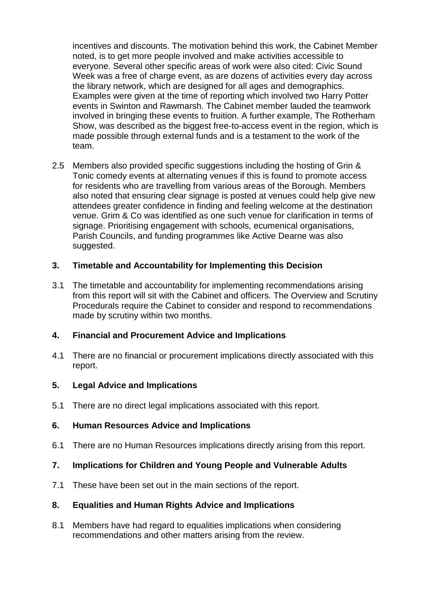incentives and discounts. The motivation behind this work, the Cabinet Member noted, is to get more people involved and make activities accessible to everyone. Several other specific areas of work were also cited: Civic Sound Week was a free of charge event, as are dozens of activities every day across the library network, which are designed for all ages and demographics. Examples were given at the time of reporting which involved two Harry Potter events in Swinton and Rawmarsh. The Cabinet member lauded the teamwork involved in bringing these events to fruition. A further example, The Rotherham Show, was described as the biggest free-to-access event in the region, which is made possible through external funds and is a testament to the work of the team.

2.5 Members also provided specific suggestions including the hosting of Grin & Tonic comedy events at alternating venues if this is found to promote access for residents who are travelling from various areas of the Borough. Members also noted that ensuring clear signage is posted at venues could help give new attendees greater confidence in finding and feeling welcome at the destination venue. Grim & Co was identified as one such venue for clarification in terms of signage. Prioritising engagement with schools, ecumenical organisations, Parish Councils, and funding programmes like Active Dearne was also suggested.

### **3. Timetable and Accountability for Implementing this Decision**

3.1 The timetable and accountability for implementing recommendations arising from this report will sit with the Cabinet and officers. The Overview and Scrutiny Procedurals require the Cabinet to consider and respond to recommendations made by scrutiny within two months.

### **4. Financial and Procurement Advice and Implications**

4.1 There are no financial or procurement implications directly associated with this report.

### **5. Legal Advice and Implications**

5.1 There are no direct legal implications associated with this report.

#### **6. Human Resources Advice and Implications**

6.1 There are no Human Resources implications directly arising from this report.

### **7. Implications for Children and Young People and Vulnerable Adults**

7.1 These have been set out in the main sections of the report.

### **8. Equalities and Human Rights Advice and Implications**

8.1 Members have had regard to equalities implications when considering recommendations and other matters arising from the review.